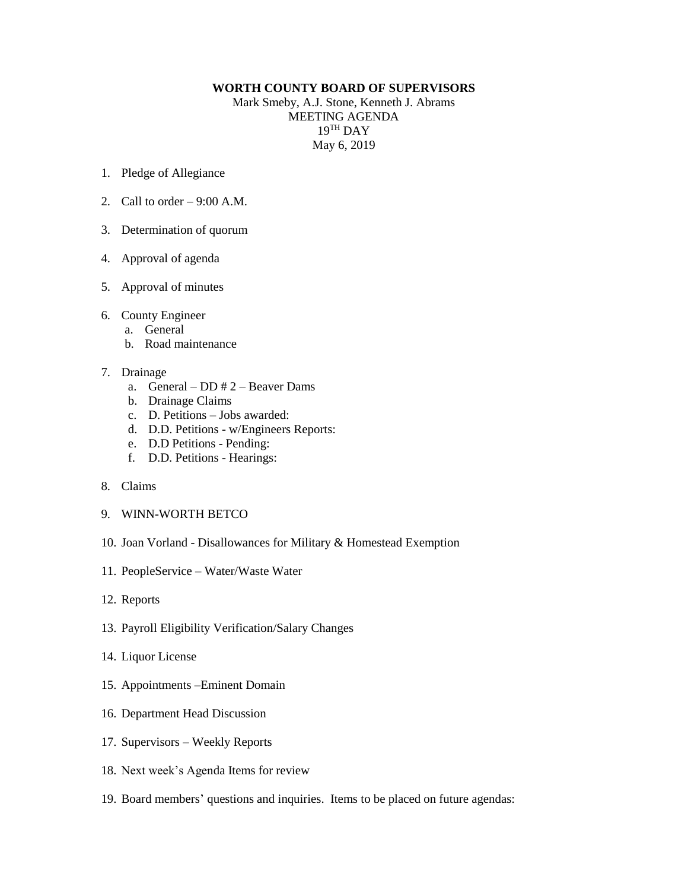## **WORTH COUNTY BOARD OF SUPERVISORS**

Mark Smeby, A.J. Stone, Kenneth J. Abrams MEETING AGENDA 19 TH DAY May 6, 2019

- 1. Pledge of Allegiance
- 2. Call to order  $-9:00$  A.M.
- 3. Determination of quorum
- 4. Approval of agenda
- 5. Approval of minutes
- 6. County Engineer
	- a. General
	- b. Road maintenance
- 7. Drainage
	- a. General DD # 2 Beaver Dams
	- b. Drainage Claims
	- c. D. Petitions Jobs awarded:
	- d. D.D. Petitions w/Engineers Reports:
	- e. D.D Petitions Pending:
	- f. D.D. Petitions Hearings:
- 8. Claims
- 9. WINN-WORTH BETCO
- 10. Joan Vorland Disallowances for Military & Homestead Exemption
- 11. PeopleService Water/Waste Water
- 12. Reports
- 13. Payroll Eligibility Verification/Salary Changes
- 14. Liquor License
- 15. Appointments –Eminent Domain
- 16. Department Head Discussion
- 17. Supervisors Weekly Reports
- 18. Next week's Agenda Items for review
- 19. Board members' questions and inquiries. Items to be placed on future agendas: